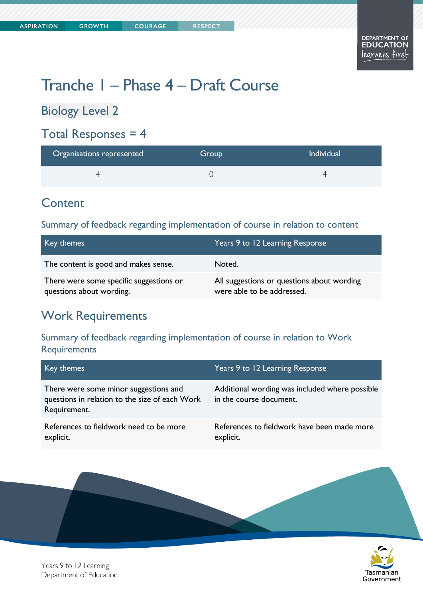# Tranche 1 – Phase 4 – Draft Course

Biology Level 2

### Total Responses  $= 4$

| Organisations represented | Group | <b>Individual</b> |
|---------------------------|-------|-------------------|
|                           |       |                   |

### **Content**

#### Summary of feedback regarding implementation of course in relation to content

| Key themes                                                          | Years 9 to 12 Learning Response                                          |
|---------------------------------------------------------------------|--------------------------------------------------------------------------|
| The content is good and makes sense.                                | Noted.                                                                   |
| There were some specific suggestions or<br>questions about wording. | All suggestions or questions about wording<br>were able to be addressed. |

### Work Requirements

#### Summary of feedback regarding implementation of course in relation to Work **Requirements**

| Key themes                                                                                              | Years 9 to 12 Learning Response                                           |
|---------------------------------------------------------------------------------------------------------|---------------------------------------------------------------------------|
| There were some minor suggestions and<br>questions in relation to the size of each Work<br>Requirement. | Additional wording was included where possible<br>in the course document. |
| References to fieldwork need to be more<br>explicit.                                                    | References to fieldwork have been made more<br>explicit.                  |